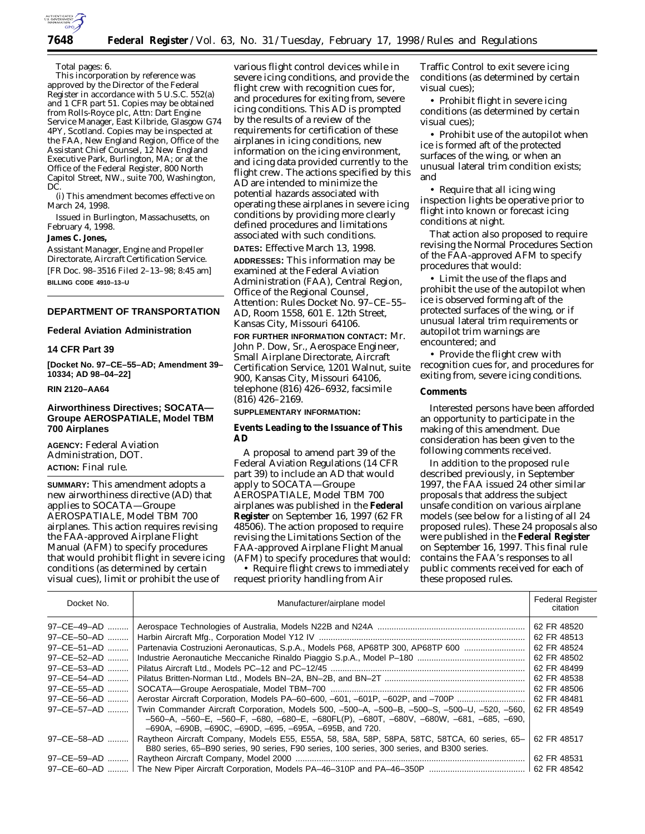

# **7648 Federal Register** / Vol. 63, No. 31 / Tuesday, February 17, 1998 / Rules and Regulations

#### Total pages: 6.

This incorporation by reference was approved by the Director of the Federal Register in accordance with 5 U.S.C. 552(a) and 1 CFR part 51. Copies may be obtained from Rolls-Royce plc, Attn: Dart Engine Service Manager, East Kilbride, Glasgow G74 4PY, Scotland. Copies may be inspected at the FAA, New England Region, Office of the Assistant Chief Counsel, 12 New England Executive Park, Burlington, MA; or at the Office of the Federal Register, 800 North Capitol Street, NW., suite 700, Washington, DC.

(i) This amendment becomes effective on March 24, 1998.

Issued in Burlington, Massachusetts, on February 4, 1998.

# **James C. Jones,**

*Assistant Manager, Engine and Propeller Directorate, Aircraft Certification Service.* [FR Doc. 98–3516 Filed 2–13–98; 8:45 am] **BILLING CODE 4910–13–U**

# **DEPARTMENT OF TRANSPORTATION**

### **Federal Aviation Administration**

# **14 CFR Part 39**

**[Docket No. 97–CE–55–AD; Amendment 39– 10334; AD 98–04–22]**

# **RIN 2120–AA64**

### **Airworthiness Directives; SOCATA— Groupe AEROSPATIALE, Model TBM 700 Airplanes**

**AGENCY:** Federal Aviation Administration, DOT. **ACTION:** Final rule.

**SUMMARY:** This amendment adopts a new airworthiness directive (AD) that applies to SOCATA—Groupe AEROSPATIALE, Model TBM 700 airplanes. This action requires revising the FAA-approved Airplane Flight Manual (AFM) to specify procedures that would prohibit flight in severe icing conditions (as determined by certain visual cues), limit or prohibit the use of

various flight control devices while in severe icing conditions, and provide the flight crew with recognition cues for, and procedures for exiting from, severe icing conditions. This AD is prompted by the results of a review of the requirements for certification of these airplanes in icing conditions, new information on the icing environment, and icing data provided currently to the flight crew. The actions specified by this AD are intended to minimize the potential hazards associated with operating these airplanes in severe icing conditions by providing more clearly defined procedures and limitations associated with such conditions. **DATES:** Effective March 13, 1998.

**ADDRESSES:** This information may be examined at the Federal Aviation Administration (FAA), Central Region, Office of the Regional Counsel, Attention: Rules Docket No. 97–CE–55– AD, Room 1558, 601 E. 12th Street, Kansas City, Missouri 64106.

**FOR FURTHER INFORMATION CONTACT:** Mr. John P. Dow, Sr., Aerospace Engineer, Small Airplane Directorate, Aircraft Certification Service, 1201 Walnut, suite 900, Kansas City, Missouri 64106, telephone (816) 426–6932, facsimile (816) 426–2169.

# **SUPPLEMENTARY INFORMATION:**

# **Events Leading to the Issuance of This AD**

A proposal to amend part 39 of the Federal Aviation Regulations (14 CFR part 39) to include an AD that would apply to SOCATA—Groupe AEROSPATIALE, Model TBM 700 airplanes was published in the **Federal Register** on September 16, 1997 (62 FR 48506). The action proposed to require revising the Limitations Section of the FAA-approved Airplane Flight Manual (AFM) to specify procedures that would:

• Require flight crews to immediately request priority handling from Air

Traffic Control to exit severe icing conditions (as determined by certain visual cues);

• Prohibit flight in severe icing conditions (as determined by certain visual cues);

• Prohibit use of the autopilot when ice is formed aft of the protected surfaces of the wing, or when an unusual lateral trim condition exists; and

• Require that all icing wing inspection lights be operative prior to flight into known or forecast icing conditions at night.

That action also proposed to require revising the Normal Procedures Section of the FAA-approved AFM to specify procedures that would:

• Limit the use of the flaps and prohibit the use of the autopilot when ice is observed forming aft of the protected surfaces of the wing, or if unusual lateral trim requirements or autopilot trim warnings are encountered; and

• Provide the flight crew with recognition cues for, and procedures for exiting from, severe icing conditions.

### **Comments**

Interested persons have been afforded an opportunity to participate in the making of this amendment. Due consideration has been given to the following comments received.

In addition to the proposed rule described previously, in September 1997, the FAA issued 24 other similar proposals that address the subject unsafe condition on various airplane models (see below for a listing of all 24 proposed rules). These 24 proposals also were published in the **Federal Register** on September 16, 1997. This final rule contains the FAA's responses to all public comments received for each of these proposed rules.

| Docket No.          | Manufacturer/airplane model                                                                                                                                                                                                                         | <b>Federal Register</b><br>citation |
|---------------------|-----------------------------------------------------------------------------------------------------------------------------------------------------------------------------------------------------------------------------------------------------|-------------------------------------|
| 97-CE-49-AD         |                                                                                                                                                                                                                                                     | 62 FR 48520                         |
| 97-CE-50-AD         |                                                                                                                                                                                                                                                     | 62 FR 48513                         |
| 97-CE-51-AD         | Partenavia Costruzioni Aeronauticas, S.p.A., Models P68, AP68TP 300, AP68TP 600                                                                                                                                                                     | 62 FR 48524                         |
| 97-CE-52-AD         |                                                                                                                                                                                                                                                     | 62 FR 48502                         |
| $97 - CE - 53 - AD$ |                                                                                                                                                                                                                                                     | 62 FR 48499                         |
| 97-CE-54-AD         |                                                                                                                                                                                                                                                     | 62 FR 48538                         |
| $97 - CE - 55 - AD$ |                                                                                                                                                                                                                                                     | 62 FR 48506                         |
| 97-CE-56-AD         | Aerostar Aircraft Corporation, Models PA-60-600, -601, -601P, -602P, and -700P                                                                                                                                                                      | 62 FR 48481                         |
| 97-CE-57-AD         | Twin Commander Aircraft Corporation, Models 500, -500-A, -500-B, -500-S, -500-U, -520, -560,<br>-560-A, -560-E, -560-F, -680, -680-E, -680FL(P), -680T, -680V, -680W, -681, -685, -690,<br>-690A, -690B, -690C, -690D, -695, -695A, -695B, and 720. | 62 FR 48549                         |
| 97-CE-58-AD.        | Raytheon Aircraft Company, Models E55, E55A, 58, 58A, 58P, 58PA, 58TC, 58TCA, 60 series, 65–<br>B80 series, 65–B90 series, 90 series, F90 series, 100 series, 300 series, and B300 series.                                                          | 62 FR 48517                         |
| 97-CE-59-AD         |                                                                                                                                                                                                                                                     | 62 FR 48531                         |
|                     |                                                                                                                                                                                                                                                     |                                     |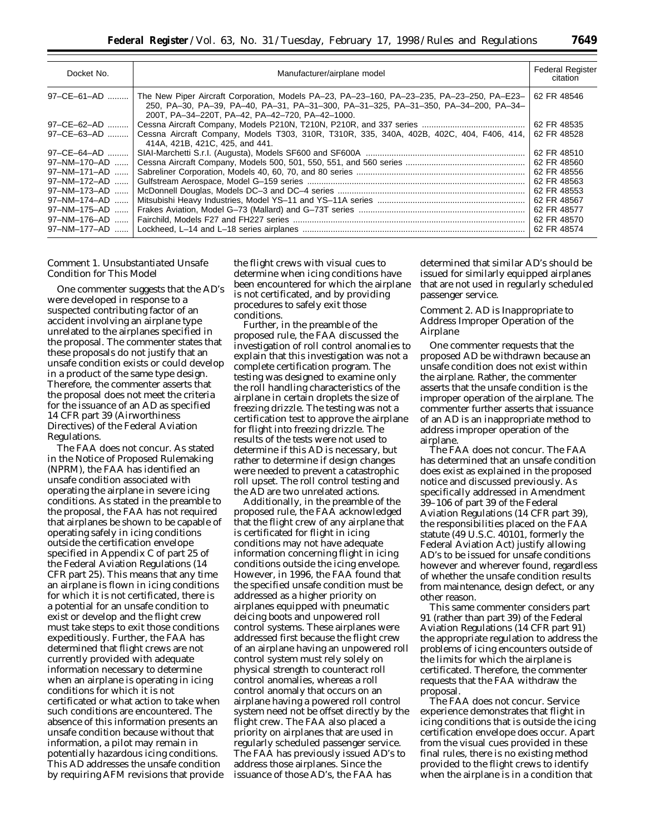| Docket No.           | Manufacturer/airplane model                                                                                                                                                                                                          | <b>Federal Register</b><br>citation |
|----------------------|--------------------------------------------------------------------------------------------------------------------------------------------------------------------------------------------------------------------------------------|-------------------------------------|
| $97 - CE - 61 - AD$  | The New Piper Aircraft Corporation, Models PA-23, PA-23-160, PA-23-235, PA-23-250, PA-E23-<br>250, PA-30, PA-39, PA-40, PA-31, PA-31-300, PA-31-325, PA-31-350, PA-34-200, PA-34-<br>200T, PA-34-220T, PA-42, PA-42-720, PA-42-1000. | 62 FR 48546                         |
| 97-CE-62-AD          |                                                                                                                                                                                                                                      | 62 FR 48535                         |
| 97-CE-63-AD          | Cessna Aircraft Company, Models T303, 310R, T310R, 335, 340A, 402B, 402C, 404, F406, 414,<br>414A, 421B, 421C, 425, and 441.                                                                                                         | 62 FR 48528                         |
| 97-CE-64-AD          |                                                                                                                                                                                                                                      | 62 FR 48510                         |
| $97 - NM - 170 - AD$ |                                                                                                                                                                                                                                      | 62 FR 48560                         |
| 97-NM-171-AD         |                                                                                                                                                                                                                                      | 62 FR 48556                         |
| 97-NM-172-AD         |                                                                                                                                                                                                                                      | 62 FR 48563                         |
| 97-NM-173-AD         |                                                                                                                                                                                                                                      | 62 FR 48553                         |
| 97-NM-174-AD         |                                                                                                                                                                                                                                      | 62 FR 48567                         |
| 97-NM-175-AD         |                                                                                                                                                                                                                                      | 62 FR 48577                         |
| 97-NM-176-AD         |                                                                                                                                                                                                                                      | 62 FR 48570                         |
| 97-NM-177-AD         |                                                                                                                                                                                                                                      | 62 FR 48574                         |
|                      |                                                                                                                                                                                                                                      |                                     |

### *Comment 1. Unsubstantiated Unsafe Condition for This Model*

One commenter suggests that the AD's were developed in response to a suspected contributing factor of an accident involving an airplane type unrelated to the airplanes specified in the proposal. The commenter states that these proposals do not justify that an unsafe condition exists or could develop in a product of the same type design. Therefore, the commenter asserts that the proposal does not meet the criteria for the issuance of an AD as specified 14 CFR part 39 (Airworthiness Directives) of the Federal Aviation Regulations.

The FAA does not concur. As stated in the Notice of Proposed Rulemaking (NPRM), the FAA has identified an unsafe condition associated with operating the airplane in severe icing conditions. As stated in the preamble to the proposal, the FAA has not required that airplanes be shown to be capable of operating safely in icing conditions outside the certification envelope specified in Appendix C of part 25 of the Federal Aviation Regulations (14 CFR part 25). This means that any time an airplane is flown in icing conditions for which it is not certificated, there is a potential for an unsafe condition to exist or develop and the flight crew must take steps to exit those conditions expeditiously. Further, the FAA has determined that flight crews are not currently provided with adequate information necessary to determine when an airplane is operating in icing conditions for which it is not certificated or what action to take when such conditions are encountered. The absence of this information presents an unsafe condition because without that information, a pilot may remain in potentially hazardous icing conditions. This AD addresses the unsafe condition by requiring AFM revisions that provide the flight crews with visual cues to determine when icing conditions have been encountered for which the airplane is not certificated, and by providing procedures to safely exit those conditions.

Further, in the preamble of the proposed rule, the FAA discussed the investigation of roll control anomalies to explain that this investigation was not a complete certification program. The testing was designed to examine only the roll handling characteristics of the airplane in certain droplets the size of freezing drizzle. The testing was not a certification test to approve the airplane for flight into freezing drizzle. The results of the tests were not used to determine if this AD is necessary, but rather to determine if design changes were needed to prevent a catastrophic roll upset. The roll control testing and the AD are two unrelated actions.

Additionally, in the preamble of the proposed rule, the FAA acknowledged that the flight crew of any airplane that is certificated for flight in icing conditions may not have adequate information concerning flight in icing conditions outside the icing envelope. However, in 1996, the FAA found that the specified unsafe condition must be addressed as a higher priority on airplanes equipped with pneumatic deicing boots and unpowered roll control systems. These airplanes were addressed first because the flight crew of an airplane having an unpowered roll control system must rely solely on physical strength to counteract roll control anomalies, whereas a roll control anomaly that occurs on an airplane having a powered roll control system need not be offset directly by the flight crew. The FAA also placed a priority on airplanes that are used in regularly scheduled passenger service. The FAA has previously issued AD's to address those airplanes. Since the issuance of those AD's, the FAA has

determined that similar AD's should be issued for similarly equipped airplanes that are not used in regularly scheduled passenger service.

# *Comment 2. AD is Inappropriate to Address Improper Operation of the Airplane*

One commenter requests that the proposed AD be withdrawn because an unsafe condition does not exist within the airplane. Rather, the commenter asserts that the unsafe condition is the improper operation of the airplane. The commenter further asserts that issuance of an AD is an inappropriate method to address improper operation of the airplane.

The FAA does not concur. The FAA has determined that an unsafe condition does exist as explained in the proposed notice and discussed previously. As specifically addressed in Amendment 39–106 of part 39 of the Federal Aviation Regulations (14 CFR part 39), the responsibilities placed on the FAA statute (49 U.S.C. 40101, formerly the Federal Aviation Act) justify allowing AD's to be issued for unsafe conditions however and wherever found, regardless of whether the unsafe condition results from maintenance, design defect, or any other reason.

This same commenter considers part 91 (rather than part 39) of the Federal Aviation Regulations (14 CFR part 91) the appropriate regulation to address the problems of icing encounters outside of the limits for which the airplane is certificated. Therefore, the commenter requests that the FAA withdraw the proposal.

The FAA does not concur. Service experience demonstrates that flight in icing conditions that is outside the icing certification envelope does occur. Apart from the visual cues provided in these final rules, there is no existing method provided to the flight crews to identify when the airplane is in a condition that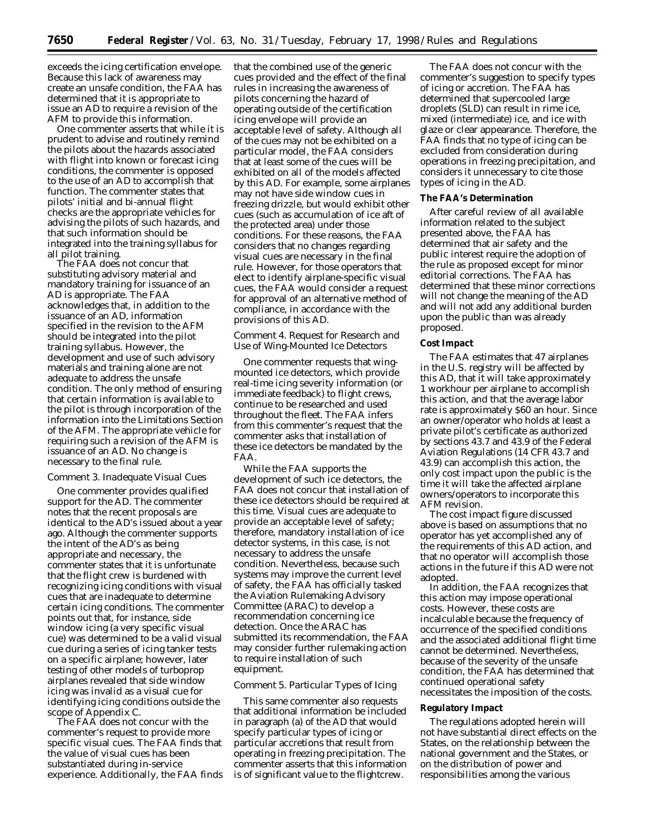exceeds the icing certification envelope. Because this lack of awareness may create an unsafe condition, the FAA has determined that it is appropriate to issue an AD to require a revision of the AFM to provide this information.

One commenter asserts that while it is prudent to advise and routinely remind the pilots about the hazards associated with flight into known or forecast icing conditions, the commenter is opposed to the use of an AD to accomplish that function. The commenter states that pilots' initial and bi-annual flight checks are the appropriate vehicles for advising the pilots of such hazards, and that such information should be integrated into the training syllabus for all pilot training.

The FAA does not concur that substituting advisory material and mandatory training for issuance of an AD is appropriate. The FAA acknowledges that, in addition to the issuance of an AD, information specified in the revision to the AFM should be integrated into the pilot training syllabus. However, the development and use of such advisory materials and training alone are not adequate to address the unsafe condition. The only method of ensuring that certain information is available to the pilot is through incorporation of the information into the Limitations Section of the AFM. The appropriate vehicle for requiring such a revision of the AFM is issuance of an AD. No change is necessary to the final rule.

#### *Comment 3. Inadequate Visual Cues*

One commenter provides qualified support for the AD. The commenter notes that the recent proposals are identical to the AD's issued about a year ago. Although the commenter supports the intent of the AD's as being appropriate and necessary, the commenter states that it is unfortunate that the flight crew is burdened with recognizing icing conditions with visual cues that are inadequate to determine certain icing conditions. The commenter points out that, for instance, side window icing (a very specific visual cue) was determined to be a valid visual cue during a series of icing tanker tests on a specific airplane; however, later testing of other models of turboprop airplanes revealed that side window icing was invalid as a visual cue for identifying icing conditions outside the scope of Appendix C.

The FAA does not concur with the commenter's request to provide more specific visual cues. The FAA finds that the value of visual cues has been substantiated during in-service experience. Additionally, the FAA finds that the combined use of the generic cues provided and the effect of the final rules in increasing the awareness of pilots concerning the hazard of operating outside of the certification icing envelope will provide an acceptable level of safety. Although all of the cues may not be exhibited on a particular model, the FAA considers that at least some of the cues will be exhibited on all of the models affected by this AD. For example, some airplanes may not have side window cues in freezing drizzle, but would exhibit other cues (such as accumulation of ice aft of the protected area) under those conditions. For these reasons, the FAA considers that no changes regarding visual cues are necessary in the final rule. However, for those operators that elect to identify airplane-specific visual cues, the FAA would consider a request for approval of an alternative method of compliance, in accordance with the provisions of this AD.

# *Comment 4. Request for Research and Use of Wing-Mounted Ice Detectors*

One commenter requests that wingmounted ice detectors, which provide real-time icing severity information (or immediate feedback) to flight crews, continue to be researched and used throughout the fleet. The FAA infers from this commenter's request that the commenter asks that installation of these ice detectors be mandated by the FAA.

While the FAA supports the development of such ice detectors, the FAA does not concur that installation of these ice detectors should be required at this time. Visual cues are adequate to provide an acceptable level of safety; therefore, mandatory installation of ice detector systems, in this case, is not necessary to address the unsafe condition. Nevertheless, because such systems may improve the current level of safety, the FAA has officially tasked the Aviation Rulemaking Advisory Committee (ARAC) to develop a recommendation concerning ice detection. Once the ARAC has submitted its recommendation, the FAA may consider further rulemaking action to require installation of such equipment.

#### *Comment 5. Particular Types of Icing*

This same commenter also requests that additional information be included in paragraph (a) of the AD that would specify particular types of icing or particular accretions that result from operating in freezing precipitation. The commenter asserts that this information is of significant value to the flightcrew.

The FAA does not concur with the commenter's suggestion to specify types of icing or accretion. The FAA has determined that supercooled large droplets (SLD) can result in rime ice, mixed (intermediate) ice, and ice with glaze or clear appearance. Therefore, the FAA finds that no type of icing can be excluded from consideration during operations in freezing precipitation, and considers it unnecessary to cite those types of icing in the AD.

#### **The FAA's Determination**

After careful review of all available information related to the subject presented above, the FAA has determined that air safety and the public interest require the adoption of the rule as proposed except for minor editorial corrections. The FAA has determined that these minor corrections will not change the meaning of the AD and will not add any additional burden upon the public than was already proposed.

#### **Cost Impact**

The FAA estimates that 47 airplanes in the U.S. registry will be affected by this AD, that it will take approximately 1 workhour per airplane to accomplish this action, and that the average labor rate is approximately \$60 an hour. Since an owner/operator who holds at least a private pilot's certificate as authorized by sections 43.7 and 43.9 of the Federal Aviation Regulations (14 CFR 43.7 and 43.9) can accomplish this action, the only cost impact upon the public is the time it will take the affected airplane owners/operators to incorporate this AFM revision.

The cost impact figure discussed above is based on assumptions that no operator has yet accomplished any of the requirements of this AD action, and that no operator will accomplish those actions in the future if this AD were not adopted.

In addition, the FAA recognizes that this action may impose operational costs. However, these costs are incalculable because the frequency of occurrence of the specified conditions and the associated additional flight time cannot be determined. Nevertheless, because of the severity of the unsafe condition, the FAA has determined that continued operational safety necessitates the imposition of the costs.

### **Regulatory Impact**

The regulations adopted herein will not have substantial direct effects on the States, on the relationship between the national government and the States, or on the distribution of power and responsibilities among the various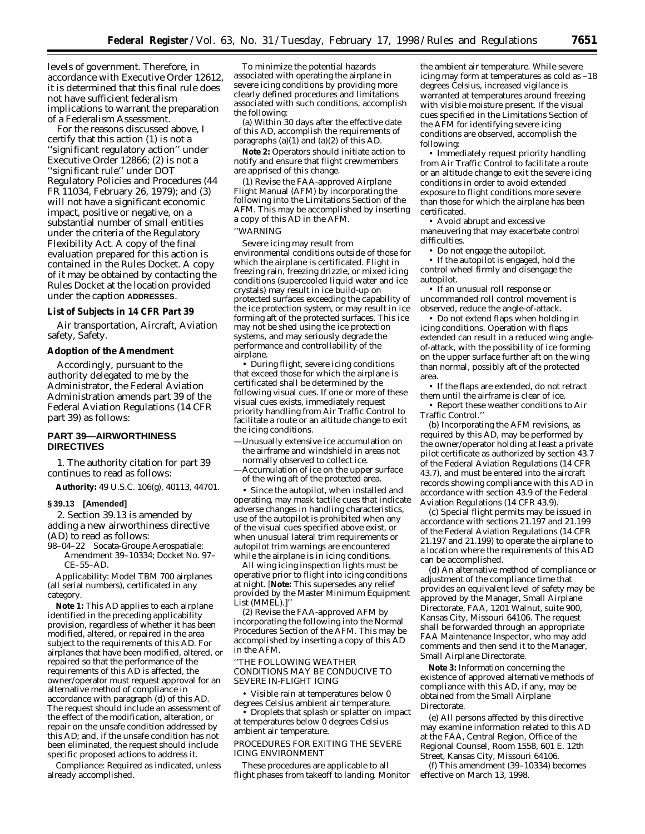levels of government. Therefore, in accordance with Executive Order 12612, it is determined that this final rule does not have sufficient federalism implications to warrant the preparation of a Federalism Assessment.

For the reasons discussed above, I certify that this action (1) is not a ''significant regulatory action'' under Executive Order 12866; (2) is not a ''significant rule'' under DOT Regulatory Policies and Procedures (44 FR 11034, February 26, 1979); and (3) will not have a significant economic impact, positive or negative, on a substantial number of small entities under the criteria of the Regulatory Flexibility Act. A copy of the final evaluation prepared for this action is contained in the Rules Docket. A copy of it may be obtained by contacting the Rules Docket at the location provided under the caption **ADDRESSES**.

#### **List of Subjects in 14 CFR Part 39**

Air transportation, Aircraft, Aviation safety, Safety.

### **Adoption of the Amendment**

Accordingly, pursuant to the authority delegated to me by the Administrator, the Federal Aviation Administration amends part 39 of the Federal Aviation Regulations (14 CFR part 39) as follows:

# **PART 39—AIRWORTHINESS DIRECTIVES**

1. The authority citation for part 39 continues to read as follows:

**Authority:** 49 U.S.C. 106(g), 40113, 44701.

#### **§ 39.13 [Amended]**

2. Section 39.13 is amended by adding a new airworthiness directive (AD) to read as follows:

98–04–22 Socata-Groupe Aerospatiale: Amendment 39–10334; Docket No. 97– CE–55–AD.

*Applicability:* Model TBM 700 airplanes (all serial numbers), certificated in any category.

**Note 1:** This AD applies to each airplane identified in the preceding applicability provision, regardless of whether it has been modified, altered, or repaired in the area subject to the requirements of this AD. For airplanes that have been modified, altered, or repaired so that the performance of the requirements of this AD is affected, the owner/operator must request approval for an alternative method of compliance in accordance with paragraph (d) of this AD. The request should include an assessment of the effect of the modification, alteration, or repair on the unsafe condition addressed by this AD; and, if the unsafe condition has not been eliminated, the request should include specific proposed actions to address it.

*Compliance:* Required as indicated, unless already accomplished.

To minimize the potential hazards associated with operating the airplane in severe icing conditions by providing more clearly defined procedures and limitations associated with such conditions, accomplish the following:

(a) Within 30 days after the effective date of this AD, accomplish the requirements of paragraphs  $(a)(1)$  and  $(a)(2)$  of this AD.

**Note 2:** Operators should initiate action to notify and ensure that flight crewmembers are apprised of this change.

(1) Revise the FAA-approved Airplane Flight Manual (AFM) by incorporating the following into the Limitations Section of the AFM. This may be accomplished by inserting a copy of this AD in the AFM.

# ''WARNING

Severe icing may result from environmental conditions outside of those for which the airplane is certificated. Flight in freezing rain, freezing drizzle, or mixed icing conditions (supercooled liquid water and ice crystals) may result in ice build-up on protected surfaces exceeding the capability of the ice protection system, or may result in ice forming aft of the protected surfaces. This ice may not be shed using the ice protection systems, and may seriously degrade the performance and controllability of the airplane.

• During flight, severe icing conditions that exceed those for which the airplane is certificated shall be determined by the following visual cues. If one or more of these visual cues exists, immediately request priority handling from Air Traffic Control to facilitate a route or an altitude change to exit the icing conditions.

- —Unusually extensive ice accumulation on the airframe and windshield in areas not normally observed to collect ice. —Accumulation of ice on the upper surface
- of the wing aft of the protected area. • Since the autopilot, when installed and

operating, may mask tactile cues that indicate adverse changes in handling characteristics, use of the autopilot is prohibited when any of the visual cues specified above exist, or when unusual lateral trim requirements or autopilot trim warnings are encountered while the airplane is in icing conditions.

All wing icing inspection lights must be operative prior to flight into icing conditions at night. [**Note:** This supersedes any relief provided by the Master Minimum Equipment List (MMEL).]''

(2) Revise the FAA-approved AFM by incorporating the following into the Normal Procedures Section of the AFM. This may be accomplished by inserting a copy of this AD in the AFM.

''THE FOLLOWING WEATHER CONDITIONS MAY BE CONDUCIVE TO SEVERE IN-FLIGHT ICING

• Visible rain at temperatures below 0 degrees Celsius ambient air temperature.

• Droplets that splash or splatter on impact at temperatures below 0 degrees Celsius ambient air temperature.

#### PROCEDURES FOR EXITING THE SEVERE ICING ENVIRONMENT

These procedures are applicable to all flight phases from takeoff to landing. Monitor

the ambient air temperature. While severe icing may form at temperatures as cold as –18 degrees Celsius, increased vigilance is warranted at temperatures around freezing with visible moisture present. If the visual cues specified in the Limitations Section of the AFM for identifying severe icing conditions are observed, accomplish the following:

• Immediately request priority handling from Air Traffic Control to facilitate a route or an altitude change to exit the severe icing conditions in order to avoid extended exposure to flight conditions more severe than those for which the airplane has been certificated.

• Avoid abrupt and excessive maneuvering that may exacerbate control difficulties.

• Do not engage the autopilot. • If the autopilot is engaged, hold the control wheel firmly and disengage the autopilot.

• If an unusual roll response or uncommanded roll control movement is observed, reduce the angle-of-attack.

• Do not extend flaps when holding in icing conditions. Operation with flaps extended can result in a reduced wing angleof-attack, with the possibility of ice forming on the upper surface further aft on the wing than normal, possibly aft of the protected area.

• If the flaps are extended, do not retract them until the airframe is clear of ice.

• Report these weather conditions to Air Traffic Control.''

(b) Incorporating the AFM revisions, as required by this AD, may be performed by the owner/operator holding at least a private pilot certificate as authorized by section 43.7 of the Federal Aviation Regulations (14 CFR 43.7), and must be entered into the aircraft records showing compliance with this AD in accordance with section 43.9 of the Federal Aviation Regulations (14 CFR 43.9).

(c) Special flight permits may be issued in accordance with sections 21.197 and 21.199 of the Federal Aviation Regulations (14 CFR 21.197 and 21.199) to operate the airplane to a location where the requirements of this AD can be accomplished.

(d) An alternative method of compliance or adjustment of the compliance time that provides an equivalent level of safety may be approved by the Manager, Small Airplane Directorate, FAA, 1201 Walnut, suite 900, Kansas City, Missouri 64106. The request shall be forwarded through an appropriate FAA Maintenance Inspector, who may add comments and then send it to the Manager, Small Airplane Directorate.

**Note 3:** Information concerning the existence of approved alternative methods of compliance with this AD, if any, may be obtained from the Small Airplane Directorate.

(e) All persons affected by this directive may examine information related to this AD at the FAA, Central Region, Office of the Regional Counsel, Room 1558, 601 E. 12th Street, Kansas City, Missouri 64106.

(f) This amendment (39–10334) becomes effective on March 13, 1998.